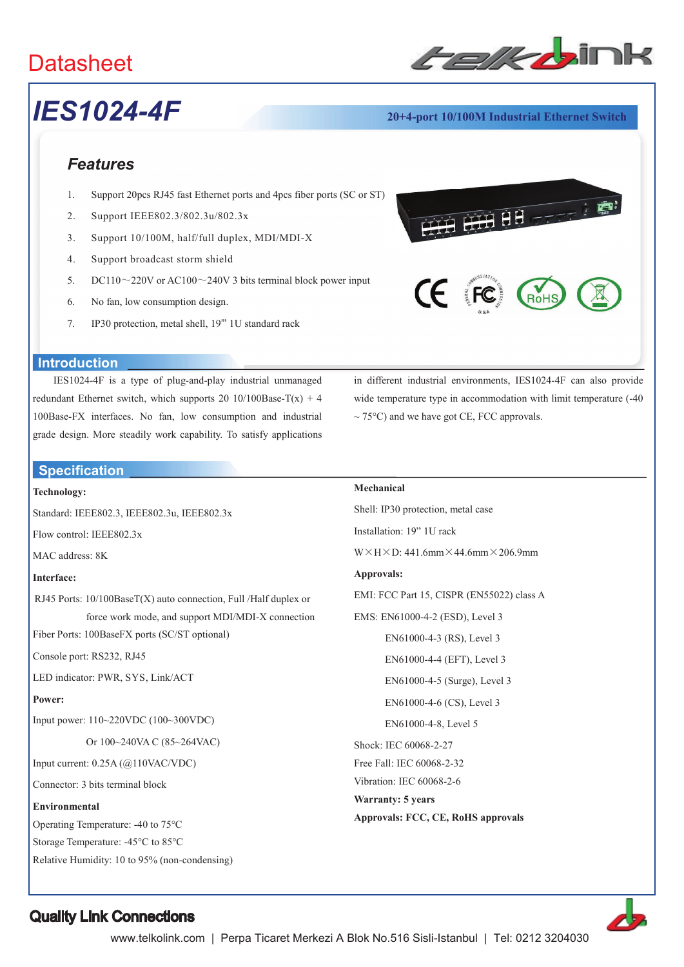# **Datasheet**



# *IES1024-4F* **20+4-port 10/100M Industrial Ethernet Switch**

## *Features*

- 1. Support 20pcs RJ45 fast Ethernet ports and 4pcs fiber ports (SC or ST)
- 2. Support IEEE802.3/802.3u/802.3x
- 3. Support 10/100M, half/full duplex, MDI/MDI-X
- 4. Support broadcast storm shield
- 5. DC110 $\sim$ 220V or AC100 $\sim$ 240V 3 bits terminal block power input
- 6. No fan, low consumption design.
- 7. IP30 protection, metal shell, 19"' 1U standard rack



RoH

### **Introduction**

IES1024-4F is a type of plug-and-play industrial unmanaged redundant Ethernet switch, which supports 20 10/100Base-T(x) + 4 100Base-FX interfaces. No fan, low consumption and industrial grade design. More steadily work capability. To satisfy applications

### **Specification**

#### **Technology:**

Standard: IEEE802.3, IEEE802.3u, IEEE802.3x

Flow control: IEEE802.3x

MAC address: 8K

#### **Interface:**

RJ45 Ports: 10/100BaseT(X) auto connection, Full /Half duplex or force work mode, and support MDI/MDI-X connection

Fiber Ports: 100BaseFX ports (SC/ST optional)

Console port: RS232, RJ45

LED indicator: PWR, SYS, Link/ACT

#### **Power:**

Input power: 110~220VDC (100~300VDC)

Or 100~240VA C (85~264VAC)

Input current: 0.25A (@110VAC/VDC)

Connector: 3 bits terminal block

#### **Environmental**

Operating Temperature: -40 to 75°C

Storage Temperature: -45°C to 85°C

Relative Humidity: 10 to 95% (non-condensing)

in different industrial environments, IES1024-4F can also provide wide temperature type in accommodation with limit temperature (-40  $\sim$  75°C) and we have got CE, FCC approvals.

### **Mechanical**

Shell: IP30 protection, metal case Installation: 19" 1U rack  $W \times H \times D$ : 441.6mm $\times$  44.6mm $\times$  206.9mm **Approvals:**  EMI: FCC Part 15, CISPR (EN55022) class A EMS: EN61000-4-2 (ESD), Level 3 EN61000-4-3 (RS), Level 3 EN61000-4-4 (EFT), Level 3 EN61000-4-5 (Surge), Level 3 EN61000-4-6 (CS), Level 3 EN61000-4-8, Level 5 Shock: IEC 60068-2-27 Free Fall: IEC 60068-2-32 Vibration: IEC 60068-2-6 **Warranty: 5 years Approvals: FCC, CE, RoHS approvals**